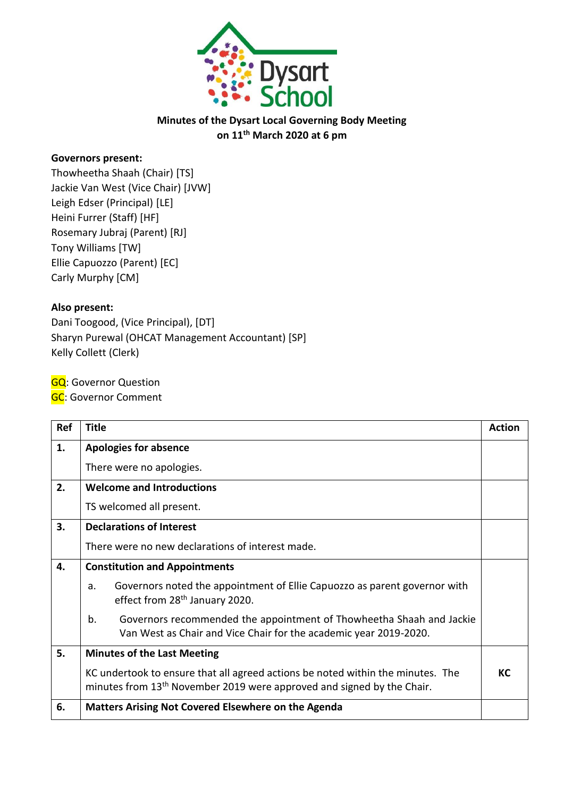

## **Minutes of the Dysart Local Governing Body Meeting on 11th March 2020 at 6 pm**

## **Governors present:**

Thowheetha Shaah (Chair) [TS] Jackie Van West (Vice Chair) [JVW] Leigh Edser (Principal) [LE] Heini Furrer (Staff) [HF] Rosemary Jubraj (Parent) [RJ] Tony Williams [TW] Ellie Capuozzo (Parent) [EC] Carly Murphy [CM]

## **Also present:**

Dani Toogood, (Vice Principal), [DT] Sharyn Purewal (OHCAT Management Accountant) [SP] Kelly Collett (Clerk)

**GQ**: Governor Question

**GC**: Governor Comment

| Ref | <b>Title</b>                                                                                                                                                          | <b>Action</b> |
|-----|-----------------------------------------------------------------------------------------------------------------------------------------------------------------------|---------------|
| 1.  | <b>Apologies for absence</b>                                                                                                                                          |               |
|     | There were no apologies.                                                                                                                                              |               |
| 2.  | <b>Welcome and Introductions</b>                                                                                                                                      |               |
|     | TS welcomed all present.                                                                                                                                              |               |
| 3.  | <b>Declarations of Interest</b>                                                                                                                                       |               |
|     | There were no new declarations of interest made.                                                                                                                      |               |
| 4.  | <b>Constitution and Appointments</b>                                                                                                                                  |               |
|     | Governors noted the appointment of Ellie Capuozzo as parent governor with<br>a.<br>effect from 28 <sup>th</sup> January 2020.                                         |               |
|     | b.<br>Governors recommended the appointment of Thowheetha Shaah and Jackie<br>Van West as Chair and Vice Chair for the academic year 2019-2020.                       |               |
| 5.  | <b>Minutes of the Last Meeting</b>                                                                                                                                    |               |
|     | KC undertook to ensure that all agreed actions be noted within the minutes. The<br>minutes from 13 <sup>th</sup> November 2019 were approved and signed by the Chair. | КC            |
| 6.  | <b>Matters Arising Not Covered Elsewhere on the Agenda</b>                                                                                                            |               |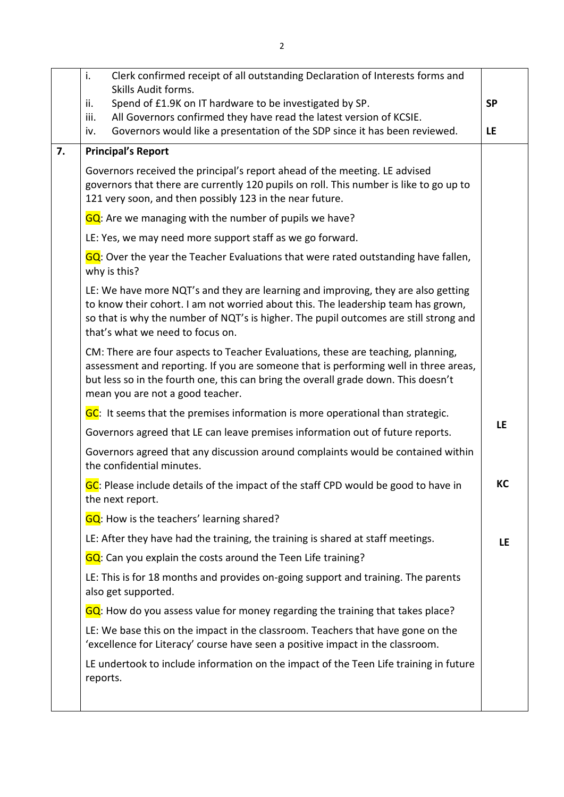|    | i.<br>Clerk confirmed receipt of all outstanding Declaration of Interests forms and<br>Skills Audit forms.                                                                                                                                                                                          |           |
|----|-----------------------------------------------------------------------------------------------------------------------------------------------------------------------------------------------------------------------------------------------------------------------------------------------------|-----------|
|    | Spend of £1.9K on IT hardware to be investigated by SP.<br>ii.                                                                                                                                                                                                                                      | <b>SP</b> |
|    | All Governors confirmed they have read the latest version of KCSIE.<br>iii.<br>Governors would like a presentation of the SDP since it has been reviewed.<br>iv.                                                                                                                                    | <b>LE</b> |
| 7. | <b>Principal's Report</b>                                                                                                                                                                                                                                                                           |           |
|    | Governors received the principal's report ahead of the meeting. LE advised<br>governors that there are currently 120 pupils on roll. This number is like to go up to<br>121 very soon, and then possibly 123 in the near future.                                                                    |           |
|    | GQ: Are we managing with the number of pupils we have?                                                                                                                                                                                                                                              |           |
|    | LE: Yes, we may need more support staff as we go forward.                                                                                                                                                                                                                                           |           |
|    | GQ: Over the year the Teacher Evaluations that were rated outstanding have fallen,<br>why is this?                                                                                                                                                                                                  |           |
|    | LE: We have more NQT's and they are learning and improving, they are also getting<br>to know their cohort. I am not worried about this. The leadership team has grown,<br>so that is why the number of NQT's is higher. The pupil outcomes are still strong and<br>that's what we need to focus on. |           |
|    | CM: There are four aspects to Teacher Evaluations, these are teaching, planning,<br>assessment and reporting. If you are someone that is performing well in three areas,<br>but less so in the fourth one, this can bring the overall grade down. This doesn't<br>mean you are not a good teacher.  |           |
|    | GC: It seems that the premises information is more operational than strategic.                                                                                                                                                                                                                      |           |
|    | Governors agreed that LE can leave premises information out of future reports.                                                                                                                                                                                                                      | LE        |
|    | Governors agreed that any discussion around complaints would be contained within<br>the confidential minutes.                                                                                                                                                                                       |           |
|    | GC: Please include details of the impact of the staff CPD would be good to have in<br>the next report.                                                                                                                                                                                              | KC        |
|    | <b>GQ</b> : How is the teachers' learning shared?                                                                                                                                                                                                                                                   |           |
|    | LE: After they have had the training, the training is shared at staff meetings.                                                                                                                                                                                                                     | LE.       |
|    | GQ: Can you explain the costs around the Teen Life training?                                                                                                                                                                                                                                        |           |
|    | LE: This is for 18 months and provides on-going support and training. The parents<br>also get supported.                                                                                                                                                                                            |           |
|    | GQ: How do you assess value for money regarding the training that takes place?                                                                                                                                                                                                                      |           |
|    | LE: We base this on the impact in the classroom. Teachers that have gone on the<br>'excellence for Literacy' course have seen a positive impact in the classroom.                                                                                                                                   |           |
|    | LE undertook to include information on the impact of the Teen Life training in future<br>reports.                                                                                                                                                                                                   |           |
|    |                                                                                                                                                                                                                                                                                                     |           |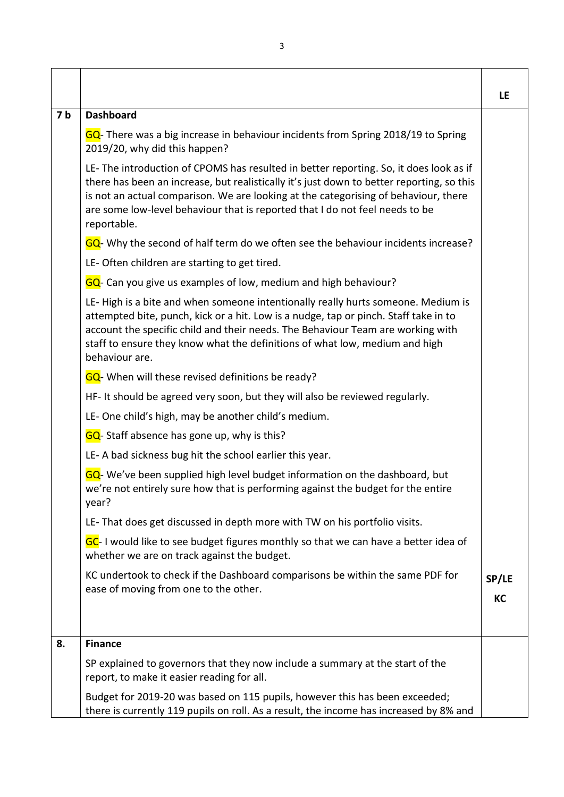|                |                                                                                                                                                                                                                                                                                                                                                                          | LE    |
|----------------|--------------------------------------------------------------------------------------------------------------------------------------------------------------------------------------------------------------------------------------------------------------------------------------------------------------------------------------------------------------------------|-------|
| 7 <sub>b</sub> | <b>Dashboard</b>                                                                                                                                                                                                                                                                                                                                                         |       |
|                | GQ- There was a big increase in behaviour incidents from Spring 2018/19 to Spring<br>2019/20, why did this happen?                                                                                                                                                                                                                                                       |       |
|                | LE-The introduction of CPOMS has resulted in better reporting. So, it does look as if<br>there has been an increase, but realistically it's just down to better reporting, so this<br>is not an actual comparison. We are looking at the categorising of behaviour, there<br>are some low-level behaviour that is reported that I do not feel needs to be<br>reportable. |       |
|                | GQ- Why the second of half term do we often see the behaviour incidents increase?                                                                                                                                                                                                                                                                                        |       |
|                | LE-Often children are starting to get tired.                                                                                                                                                                                                                                                                                                                             |       |
|                | GQ- Can you give us examples of low, medium and high behaviour?                                                                                                                                                                                                                                                                                                          |       |
|                | LE-High is a bite and when someone intentionally really hurts someone. Medium is<br>attempted bite, punch, kick or a hit. Low is a nudge, tap or pinch. Staff take in to<br>account the specific child and their needs. The Behaviour Team are working with<br>staff to ensure they know what the definitions of what low, medium and high<br>behaviour are.             |       |
|                | GQ- When will these revised definitions be ready?                                                                                                                                                                                                                                                                                                                        |       |
|                | HF- It should be agreed very soon, but they will also be reviewed regularly.                                                                                                                                                                                                                                                                                             |       |
|                | LE- One child's high, may be another child's medium.                                                                                                                                                                                                                                                                                                                     |       |
|                | GQ-Staff absence has gone up, why is this?                                                                                                                                                                                                                                                                                                                               |       |
|                | LE-A bad sickness bug hit the school earlier this year.                                                                                                                                                                                                                                                                                                                  |       |
|                | GQ-We've been supplied high level budget information on the dashboard, but<br>we're not entirely sure how that is performing against the budget for the entire<br>year?                                                                                                                                                                                                  |       |
|                | LE-That does get discussed in depth more with TW on his portfolio visits.                                                                                                                                                                                                                                                                                                |       |
|                | GC-I would like to see budget figures monthly so that we can have a better idea of<br>whether we are on track against the budget.                                                                                                                                                                                                                                        |       |
|                | KC undertook to check if the Dashboard comparisons be within the same PDF for<br>ease of moving from one to the other.                                                                                                                                                                                                                                                   | SP/LE |
|                |                                                                                                                                                                                                                                                                                                                                                                          | KC    |
| 8.             | <b>Finance</b>                                                                                                                                                                                                                                                                                                                                                           |       |
|                | SP explained to governors that they now include a summary at the start of the<br>report, to make it easier reading for all.                                                                                                                                                                                                                                              |       |
|                | Budget for 2019-20 was based on 115 pupils, however this has been exceeded;<br>there is currently 119 pupils on roll. As a result, the income has increased by 8% and                                                                                                                                                                                                    |       |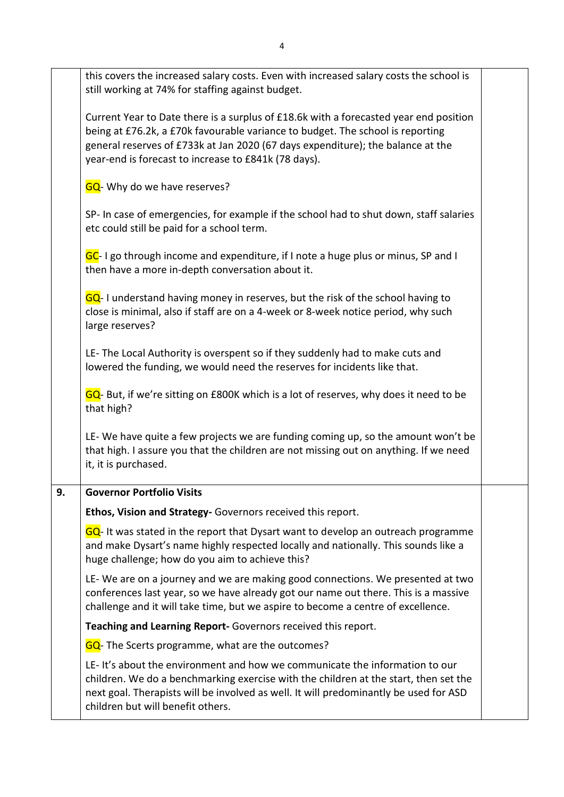|    | this covers the increased salary costs. Even with increased salary costs the school is<br>still working at 74% for staffing against budget.                                                                                                                                                                        |  |
|----|--------------------------------------------------------------------------------------------------------------------------------------------------------------------------------------------------------------------------------------------------------------------------------------------------------------------|--|
|    | Current Year to Date there is a surplus of £18.6k with a forecasted year end position<br>being at £76.2k, a £70k favourable variance to budget. The school is reporting<br>general reserves of £733k at Jan 2020 (67 days expenditure); the balance at the<br>year-end is forecast to increase to £841k (78 days). |  |
|    | GQ- Why do we have reserves?                                                                                                                                                                                                                                                                                       |  |
|    | SP- In case of emergencies, for example if the school had to shut down, staff salaries<br>etc could still be paid for a school term.                                                                                                                                                                               |  |
|    | GC-I go through income and expenditure, if I note a huge plus or minus, SP and I<br>then have a more in-depth conversation about it.                                                                                                                                                                               |  |
|    | GQ-I understand having money in reserves, but the risk of the school having to<br>close is minimal, also if staff are on a 4-week or 8-week notice period, why such<br>large reserves?                                                                                                                             |  |
|    | LE-The Local Authority is overspent so if they suddenly had to make cuts and<br>lowered the funding, we would need the reserves for incidents like that.                                                                                                                                                           |  |
|    | GQ- But, if we're sitting on £800K which is a lot of reserves, why does it need to be<br>that high?                                                                                                                                                                                                                |  |
|    | LE-We have quite a few projects we are funding coming up, so the amount won't be<br>that high. I assure you that the children are not missing out on anything. If we need<br>it, it is purchased.                                                                                                                  |  |
| 9. | <b>Governor Portfolio Visits</b>                                                                                                                                                                                                                                                                                   |  |
|    | Ethos, Vision and Strategy- Governors received this report.                                                                                                                                                                                                                                                        |  |
|    | GQ-It was stated in the report that Dysart want to develop an outreach programme<br>and make Dysart's name highly respected locally and nationally. This sounds like a<br>huge challenge; how do you aim to achieve this?                                                                                          |  |
|    | LE-We are on a journey and we are making good connections. We presented at two<br>conferences last year, so we have already got our name out there. This is a massive<br>challenge and it will take time, but we aspire to become a centre of excellence.                                                          |  |
|    | Teaching and Learning Report- Governors received this report.                                                                                                                                                                                                                                                      |  |
|    | GQ- The Scerts programme, what are the outcomes?                                                                                                                                                                                                                                                                   |  |
|    | LE-It's about the environment and how we communicate the information to our<br>children. We do a benchmarking exercise with the children at the start, then set the<br>next goal. Therapists will be involved as well. It will predominantly be used for ASD<br>children but will benefit others.                  |  |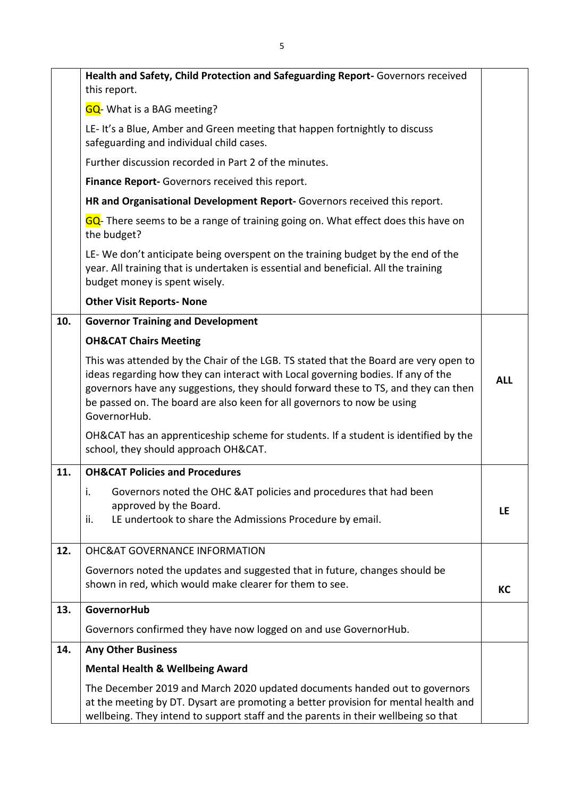|     | Health and Safety, Child Protection and Safeguarding Report-Governors received<br>this report.                                                                                                                                                                                                                                                            |            |
|-----|-----------------------------------------------------------------------------------------------------------------------------------------------------------------------------------------------------------------------------------------------------------------------------------------------------------------------------------------------------------|------------|
|     | <b>GQ</b> - What is a BAG meeting?                                                                                                                                                                                                                                                                                                                        |            |
|     | LE-It's a Blue, Amber and Green meeting that happen fortnightly to discuss<br>safeguarding and individual child cases.                                                                                                                                                                                                                                    |            |
|     | Further discussion recorded in Part 2 of the minutes.                                                                                                                                                                                                                                                                                                     |            |
|     | Finance Report- Governors received this report.                                                                                                                                                                                                                                                                                                           |            |
|     | HR and Organisational Development Report- Governors received this report.                                                                                                                                                                                                                                                                                 |            |
|     | GQ- There seems to be a range of training going on. What effect does this have on<br>the budget?                                                                                                                                                                                                                                                          |            |
|     | LE-We don't anticipate being overspent on the training budget by the end of the<br>year. All training that is undertaken is essential and beneficial. All the training<br>budget money is spent wisely.                                                                                                                                                   |            |
|     | <b>Other Visit Reports- None</b>                                                                                                                                                                                                                                                                                                                          |            |
| 10. | <b>Governor Training and Development</b>                                                                                                                                                                                                                                                                                                                  |            |
|     | <b>OH&amp;CAT Chairs Meeting</b>                                                                                                                                                                                                                                                                                                                          |            |
|     | This was attended by the Chair of the LGB. TS stated that the Board are very open to<br>ideas regarding how they can interact with Local governing bodies. If any of the<br>governors have any suggestions, they should forward these to TS, and they can then<br>be passed on. The board are also keen for all governors to now be using<br>GovernorHub. | <b>ALL</b> |
|     | OH&CAT has an apprenticeship scheme for students. If a student is identified by the<br>school, they should approach OH&CAT.                                                                                                                                                                                                                               |            |
| 11. | <b>OH&amp;CAT Policies and Procedures</b>                                                                                                                                                                                                                                                                                                                 |            |
|     | Governors noted the OHC &AT policies and procedures that had been<br>i.<br>approved by the Board.<br>LE undertook to share the Admissions Procedure by email.<br>ii.                                                                                                                                                                                      | LE.        |
| 12. | <b>OHC&amp;AT GOVERNANCE INFORMATION</b>                                                                                                                                                                                                                                                                                                                  |            |
|     | Governors noted the updates and suggested that in future, changes should be<br>shown in red, which would make clearer for them to see.                                                                                                                                                                                                                    | КC         |
| 13. | <b>GovernorHub</b>                                                                                                                                                                                                                                                                                                                                        |            |
|     | Governors confirmed they have now logged on and use GovernorHub.                                                                                                                                                                                                                                                                                          |            |
| 14. | <b>Any Other Business</b>                                                                                                                                                                                                                                                                                                                                 |            |
|     | <b>Mental Health &amp; Wellbeing Award</b>                                                                                                                                                                                                                                                                                                                |            |
|     | The December 2019 and March 2020 updated documents handed out to governors<br>at the meeting by DT. Dysart are promoting a better provision for mental health and<br>wellbeing. They intend to support staff and the parents in their wellbeing so that                                                                                                   |            |